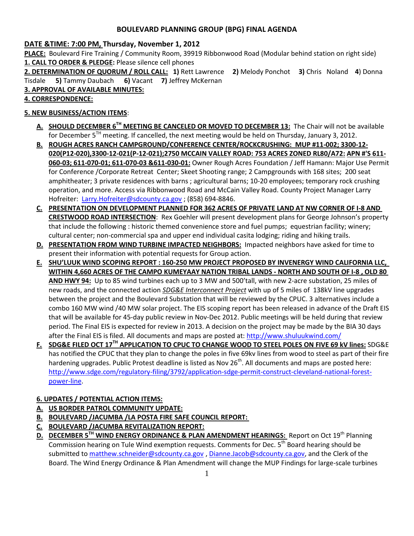# **BOULEVARD PLANNING GROUP (BPG) FINAL AGENDA**

# **DATE &TIME: 7:00 PM, Thursday, November 1, 2012**

**PLACE:** Boulevard Fire Training / Community Room, 39919 Ribbonwood Road (Modular behind station on right side) **1. CALL TO ORDER & PLEDGE:** Please silence cell phones

**2. DETERMINATION OF QUORUM / ROLL CALL: 1)** Rett Lawrence **2)** Melody Ponchot **3)** Chris Noland **4**) Donna Tisdale **5)** Tammy Daubach **6)** Vacant **7)** Jeffrey McKernan

**3. APPROVAL OF AVAILABLE MINUTES:** 

## **4. CORRESPONDENCE:**

# **5. NEW BUSINESS/ACTION ITEMS**:

- **A. SHOULD DECEMBER 6TH MEETING BE CANCELED OR MOVED TO DECEMBER 13:** The Chair will not be available for December 5<sup>TH</sup> meeting. If cancelled, the next meeting would be held on Thursday, January 3, 2012.
- **B. ROUGH ACRES RANCH CAMPGROUND/CONFERENCE CENTER/ROCKCRUSHING: MUP #11-002; 3300-12- 020(P12-020),3300-12-021(P-12-021);2750 MCCAIN VALLEY ROAD: 753 ACRES ZONED RL80/A72: APN #'S 611- 060-03; 611-070-01; 611-070-03 &611-030-01:** Owner Rough Acres Foundation / Jeff Hamann: Major Use Permit for Conference /Corporate Retreat Center; Skeet Shooting range; 2 Campgrounds with 168 sites; 200 seat amphitheater; 3 private residences with barns ; agricultural barns; 10-20 employees; temporary rock crushing operation, and more. Access via Ribbonwood Road and McCain Valley Road. County Project Manager Larry Hofreiter: [Larry.Hofreiter@sdcounty.ca.gov](mailto:Larry.Hofreiter@sdcounty.ca.gov); (858) 694-8846.
- **C. PRESENTATION ON DEVELOPMENT PLANNED FOR 362 ACRES OF PRIVATE LAND AT NW CORNER OF I-8 AND CRESTWOOD ROAD INTERSECTION**: Rex Goehler will present development plans for George Johnson's property that include the following : historic themed convenience store and fuel pumps; equestrian facility; winery; cultural center; non-commercial spa and upper end individual casita lodging; riding and hiking trails.
- **D. PRESENTATION FROM WIND TURBINE IMPACTED NEIGHBORS:** Impacted neighbors have asked for time to present their information with potential requests for Group action.
- **E. SHU'LUUK WIND SCOPING REPORT : 160-250 MW PROJECT PROPOSED BY INVENERGY WIND CALIFORNIA LLC, WITHIN 4,660 ACRES OF THE CAMPO KUMEYAAY NATION TRIBAL LANDS - NORTH AND SOUTH OF I-8 , OLD 80 AND HWY 94:** Up to 85 wind turbines each up to 3 MW and 500'tall, with new 2-acre substation, 25 miles of new roads, and the connected action *SDG&E Interconnect Project* with up of 5 miles of 138kV line upgrades between the project and the Boulevard Substation that will be reviewed by the CPUC. 3 alternatives include a combo 160 MW wind /40 MW solar project. The EIS scoping report has been released in advance of the Draft EIS that will be available for 45-day public review in Nov-Dec 2012. Public meetings will be held during that review period. The Final EIS is expected for review in 2013. A decision on the project may be made by the BIA 30 days after the Final EIS is filed. All documents and maps are posted at[: http://www.shuluukwind.com/](http://www.shuluukwind.com/)
- **F. SDG&E FILED OCT 17TH APPLICATION TO CPUC TO CHANGE WOOD TO STEEL POLES ON FIVE 69 kV lines:** SDG&E has notified the CPUC that they plan to change the poles in five 69kv lines from wood to steel as part of their fire hardening upgrades. Public Protest deadline is listed as Nov 26<sup>th</sup>. All documents and maps are posted here: [http://www.sdge.com/regulatory-filing/3792/application-sdge-permit-construct-cleveland-national-forest](http://www.sdge.com/regulatory-filing/3792/application-sdge-permit-construct-cleveland-national-forest-power-line)[power-line.](http://www.sdge.com/regulatory-filing/3792/application-sdge-permit-construct-cleveland-national-forest-power-line)

# **6. UPDATES / POTENTIAL ACTION ITEMS:**

- **A. US BORDER PATROL COMMUNITY UPDATE:**
- **B. BOULEVARD /JACUMBA /LA POSTA FIRE SAFE COUNCIL REPORT:**
- **C. BOULEVARD /JACUMBA REVITALIZATION REPORT:**
- **D.** DECEMBER 5<sup>TH</sup> WIND ENERGY ORDINANCE & PLAN AMENDMENT HEARINGS: Report on Oct 19<sup>th</sup> Planning Commission hearing on Tule Wind exemption requests. Comments for Dec. 5<sup>th</sup> Board hearing should be submitted to [matthew.schneider@sdcounty.ca.gov](mailto:matthew.schneider@sdcounty.ca.gov), [Dianne.Jacob@sdcounty.ca.gov,](mailto:Dianne.Jacob@sdcounty.ca.gov) and the Clerk of the Board. The Wind Energy Ordinance & Plan Amendment will change the MUP Findings for large-scale turbines